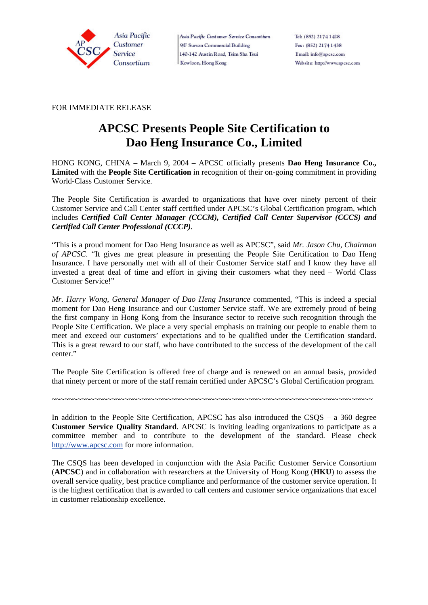

Asia Pacific Customer Service Consortium 9/F Surson Commercial Building 140-142 Austin Road, Tsim Sha Tsui Kowloon, Hong Kong

FOR IMMEDIATE RELEASE

## **APCSC Presents People Site Certification to Dao Heng Insurance Co., Limited**

HONG KONG, CHINA – March 9, 2004 – APCSC officially presents **Dao Heng Insurance Co., Limited** with the **People Site Certification** in recognition of their on-going commitment in providing World-Class Customer Service.

The People Site Certification is awarded to organizations that have over ninety percent of their Customer Service and Call Center staff certified under APCSC's Global Certification program, which includes *Certified Call Center Manager (CCCM), Certified Call Center Supervisor (CCCS) and Certified Call Center Professional (CCCP)*.

"This is a proud moment for Dao Heng Insurance as well as APCSC", said *Mr. Jason Chu, Chairman of APCSC*. "It gives me great pleasure in presenting the People Site Certification to Dao Heng Insurance. I have personally met with all of their Customer Service staff and I know they have all invested a great deal of time and effort in giving their customers what they need – World Class Customer Service!"

*Mr. Harry Wong, General Manager of Dao Heng Insurance* commented, "This is indeed a special moment for Dao Heng Insurance and our Customer Service staff. We are extremely proud of being the first company in Hong Kong from the Insurance sector to receive such recognition through the People Site Certification. We place a very special emphasis on training our people to enable them to meet and exceed our customers' expectations and to be qualified under the Certification standard. This is a great reward to our staff, who have contributed to the success of the development of the call center."

The People Site Certification is offered free of charge and is renewed on an annual basis, provided that ninety percent or more of the staff remain certified under APCSC's Global Certification program.

~~~~~~~~~~~~~~~~~~~~~~~~~~~~~~~~~~~~~~~~~~~~~~~~~~~~~~~~~~~~~~~~~~~~~~~~~~~

In addition to the People Site Certification, APCSC has also introduced the CSQS – a 360 degree **Customer Service Quality Standard**. APCSC is inviting leading organizations to participate as a committee member and to contribute to the development of the standard. Please check http://www.apcsc.com for more information.

The CSQS has been developed in conjunction with the Asia Pacific Customer Service Consortium (**APCSC**) and in collaboration with researchers at the University of Hong Kong (**HKU**) to assess the overall service quality, best practice compliance and performance of the customer service operation. It is the highest certification that is awarded to call centers and customer service organizations that excel in customer relationship excellence.